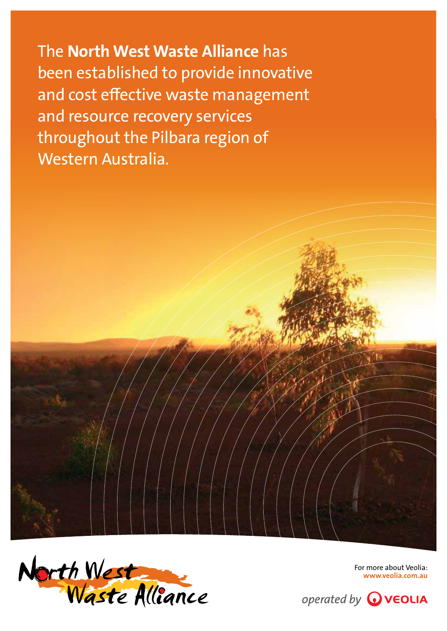The North West Waste Alliance has been established to provide innovative and cost effective waste management and resource recovery services throughout the Pilbara region of Western Australia.



For more about Veolia: www.veolia.com.au